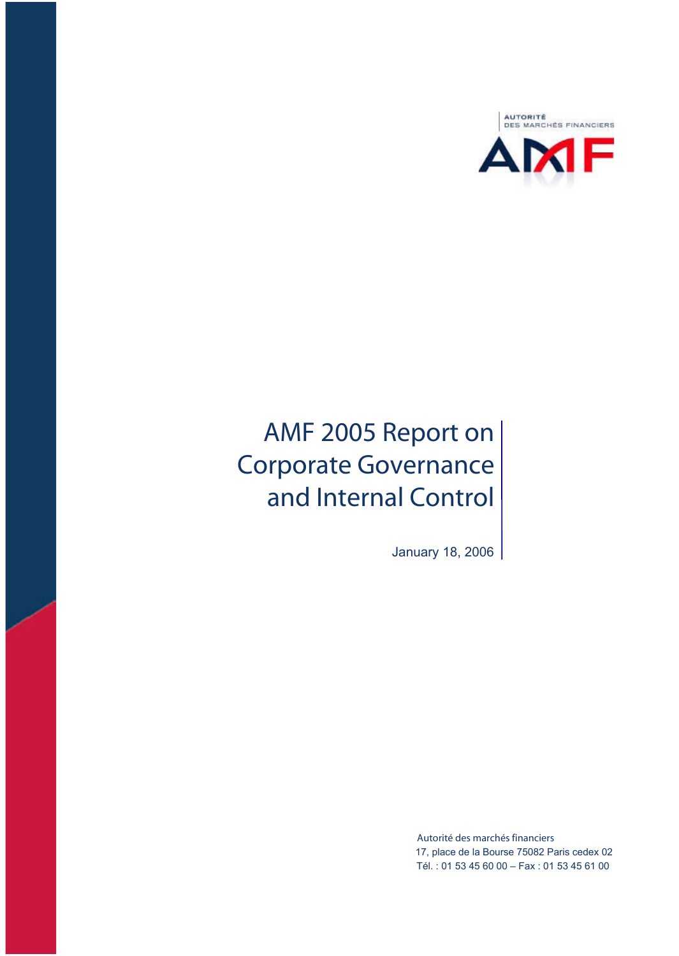

# **AMF 2005 Report on Corporate Governance and Internal Control**

January 18, 2006

**Autorité des marchés financiers** 17, place de la Bourse 75082 Paris cedex 02 Tél. : 01 53 45 60 00 – Fax : 01 53 45 61 00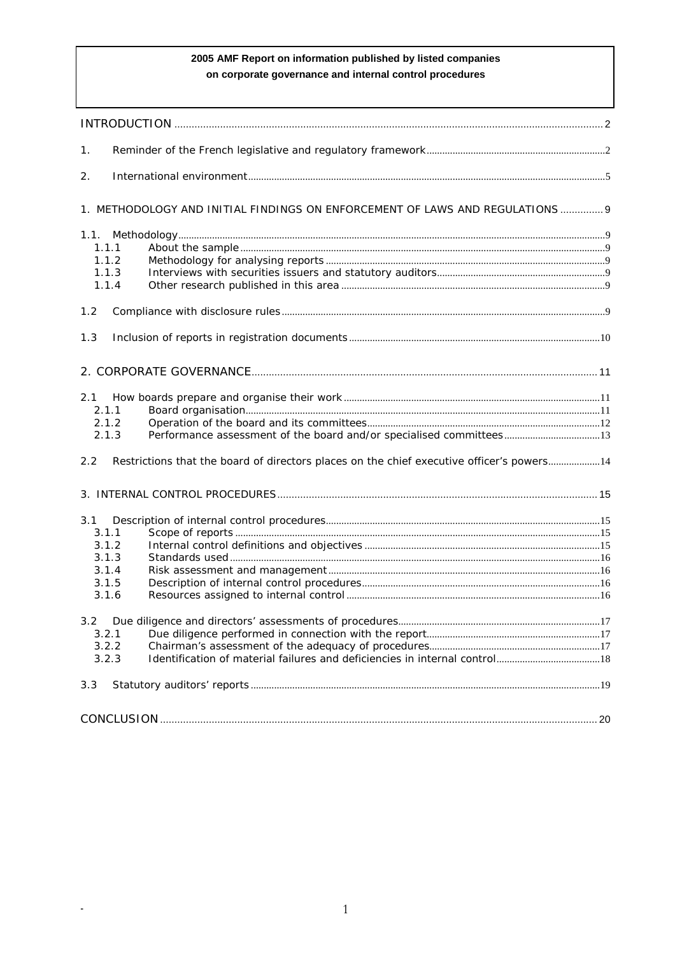# 2005 AMF Report on information published by listed companies on corporate governance and internal control procedures

| 1.  |                                                                                            |  |
|-----|--------------------------------------------------------------------------------------------|--|
| 2.  |                                                                                            |  |
|     | 1. METHODOLOGY AND INITIAL FINDINGS ON ENFORCEMENT OF LAWS AND REGULATIONS 9               |  |
|     |                                                                                            |  |
|     | 1.1.1                                                                                      |  |
|     | 1.1.2                                                                                      |  |
|     | 1.1.3                                                                                      |  |
|     | 1.1.4                                                                                      |  |
|     |                                                                                            |  |
| 1.2 |                                                                                            |  |
| 1.3 |                                                                                            |  |
|     |                                                                                            |  |
|     |                                                                                            |  |
| 2.1 |                                                                                            |  |
|     | 2.1.1                                                                                      |  |
|     | 2.1.2<br>2.1.3                                                                             |  |
|     |                                                                                            |  |
| 2.2 | Restrictions that the board of directors places on the chief executive officer's powers 14 |  |
|     |                                                                                            |  |
| 3.1 |                                                                                            |  |
|     | 3.1.1                                                                                      |  |
|     | 3.1.2                                                                                      |  |
|     | 3.1.3                                                                                      |  |
|     | 3.1.4                                                                                      |  |
|     | 3.1.5                                                                                      |  |
|     | 3.1.6                                                                                      |  |
|     |                                                                                            |  |
|     | 3.2.1                                                                                      |  |
|     | 3.2.2                                                                                      |  |
|     | 3.2.3                                                                                      |  |
| 3.3 |                                                                                            |  |
|     |                                                                                            |  |
|     |                                                                                            |  |

 $\mathbb{Z}$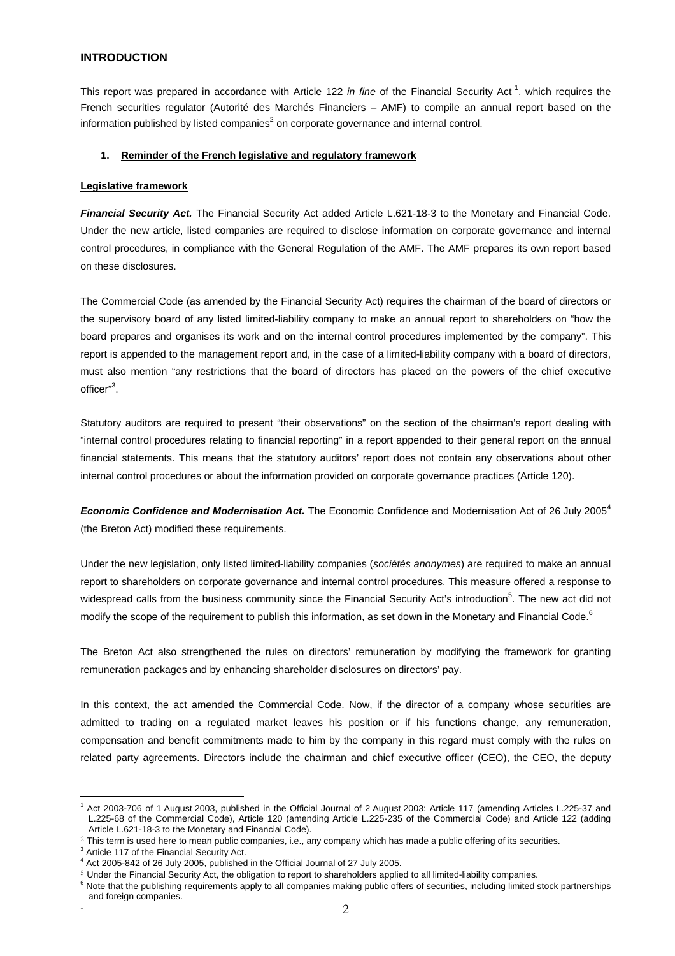This report was prepared in accordance with Article 122 in fine of the Financial Security Act<sup>1</sup>, which requires the French securities regulator (Autorité des Marchés Financiers – AMF) to compile an annual report based on the information published by listed companies<sup>2</sup> on corporate governance and internal control.

# **1. Reminder of the French legislative and regulatory framework**

#### **Legislative framework**

*Financial Security Act.* The Financial Security Act added Article L.621-18-3 to the Monetary and Financial Code. Under the new article, listed companies are required to disclose information on corporate governance and internal control procedures, in compliance with the General Regulation of the AMF. The AMF prepares its own report based on these disclosures.

The Commercial Code (as amended by the Financial Security Act) requires the chairman of the board of directors or the supervisory board of any listed limited-liability company to make an annual report to shareholders on "how the board prepares and organises its work and on the internal control procedures implemented by the company". This report is appended to the management report and, in the case of a limited-liability company with a board of directors, must also mention "any restrictions that the board of directors has placed on the powers of the chief executive officer"<sup>3</sup>.

Statutory auditors are required to present "their observations" on the section of the chairman's report dealing with "internal control procedures relating to financial reporting" in a report appended to their general report on the annual financial statements. This means that the statutory auditors' report does not contain any observations about other internal control procedures or about the information provided on corporate governance practices (Article 120).

**Economic Confidence and Modernisation Act.** The Economic Confidence and Modernisation Act of 26 July 2005<sup>4</sup> (the Breton Act) modified these requirements.

Under the new legislation, only listed limited-liability companies (*sociétés anonymes*) are required to make an annual report to shareholders on corporate governance and internal control procedures. This measure offered a response to widespread calls from the business community since the Financial Security Act's introduction<sup>5</sup>. The new act did not modify the scope of the requirement to publish this information, as set down in the Monetary and Financial Code.<sup>6</sup>

The Breton Act also strengthened the rules on directors' remuneration by modifying the framework for granting remuneration packages and by enhancing shareholder disclosures on directors' pay.

In this context, the act amended the Commercial Code. Now, if the director of a company whose securities are admitted to trading on a regulated market leaves his position or if his functions change, any remuneration, compensation and benefit commitments made to him by the company in this regard must comply with the rules on related party agreements. Directors include the chairman and chief executive officer (CEO), the CEO, the deputy

 $\overline{a}$ <sup>1</sup> Act 2003-706 of 1 August 2003, published in the Official Journal of 2 August 2003: Article 117 (amending Articles L.225-37 and L.225-68 of the Commercial Code), Article 120 (amending Article L.225-235 of the Commercial Code) and Article 122 (adding Article L.621-18-3 to the Monetary and Financial Code).

<sup>&</sup>lt;sup>2</sup> This term is used here to mean public companies, i.e., any company which has made a public offering of its securities.

 $3$  Article 117 of the Financial Security Act.

<sup>&</sup>lt;sup>4</sup> Act 2005-842 of 26 July 2005, published in the Official Journal of 27 July 2005.

<sup>5</sup> Under the Financial Security Act, the obligation to report to shareholders applied to all limited-liability companies.

<sup>&</sup>lt;sup>6</sup> Note that the publishing requirements apply to all companies making public offers of securities, including limited stock partnerships and foreign companies.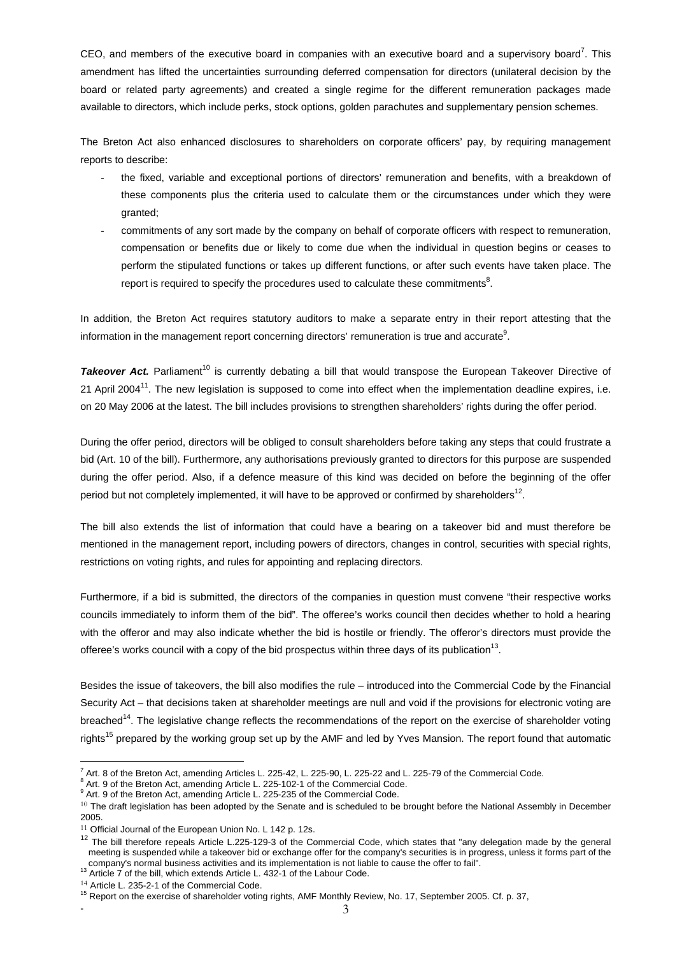CEO, and members of the executive board in companies with an executive board and a supervisory board<sup>7</sup>. This amendment has lifted the uncertainties surrounding deferred compensation for directors (unilateral decision by the board or related party agreements) and created a single regime for the different remuneration packages made available to directors, which include perks, stock options, golden parachutes and supplementary pension schemes.

The Breton Act also enhanced disclosures to shareholders on corporate officers' pay, by requiring management reports to describe:

- the fixed, variable and exceptional portions of directors' remuneration and benefits, with a breakdown of these components plus the criteria used to calculate them or the circumstances under which they were granted;
- commitments of any sort made by the company on behalf of corporate officers with respect to remuneration, compensation or benefits due or likely to come due when the individual in question begins or ceases to perform the stipulated functions or takes up different functions, or after such events have taken place. The report is required to specify the procedures used to calculate these commitments<sup>8</sup>.

In addition, the Breton Act requires statutory auditors to make a separate entry in their report attesting that the information in the management report concerning directors' remuneration is true and accurate $9$ .

Takeover Act. Parliament<sup>10</sup> is currently debating a bill that would transpose the European Takeover Directive of 21 April 2004<sup>11</sup>. The new legislation is supposed to come into effect when the implementation deadline expires, i.e. on 20 May 2006 at the latest. The bill includes provisions to strengthen shareholders' rights during the offer period.

During the offer period, directors will be obliged to consult shareholders before taking any steps that could frustrate a bid (Art. 10 of the bill). Furthermore, any authorisations previously granted to directors for this purpose are suspended during the offer period. Also, if a defence measure of this kind was decided on before the beginning of the offer period but not completely implemented, it will have to be approved or confirmed by shareholders $^{12}$ .

The bill also extends the list of information that could have a bearing on a takeover bid and must therefore be mentioned in the management report, including powers of directors, changes in control, securities with special rights, restrictions on voting rights, and rules for appointing and replacing directors.

Furthermore, if a bid is submitted, the directors of the companies in question must convene "their respective works councils immediately to inform them of the bid". The offeree's works council then decides whether to hold a hearing with the offeror and may also indicate whether the bid is hostile or friendly. The offeror's directors must provide the offeree's works council with a copy of the bid prospectus within three days of its publication<sup>13</sup>.

Besides the issue of takeovers, the bill also modifies the rule – introduced into the Commercial Code by the Financial Security Act – that decisions taken at shareholder meetings are null and void if the provisions for electronic voting are breached<sup>14</sup>. The legislative change reflects the recommendations of the report on the exercise of shareholder voting rights<sup>15</sup> prepared by the working group set up by the AMF and led by Yves Mansion. The report found that automatic

Art. 8 of the Breton Act, amending Articles L. 225-42, L. 225-90, L. 225-22 and L. 225-79 of the Commercial Code.<br>8 Art. 9 of the Preten Act, amending Article L. 225-102.1 of the Commercial Code.

 $^{\text{\tiny{\textup{o}}}}$  Art. 9 of the Breton Act, amending Article L. 225-102-1 of the Commercial Code.<br><sup>9</sup> Art. 9 of the Breton Act, amending Article L. 225-235 of the Commercial Code.

<sup>&</sup>lt;sup>10</sup> The draft legislation has been adopted by the Senate and is scheduled to be brought before the National Assembly in December 2005.

<sup>&</sup>lt;sup>11</sup> Official Journal of the European Union No. L 142 p. 12s.

<sup>&</sup>lt;sup>12</sup> The bill therefore repeals Article L.225-129-3 of the Commercial Code, which states that "any delegation made by the general meeting is suspended while a takeover bid or exchange offer for the company's securities is in progress, unless it forms part of the company's normal business activities and its implementation is not liable to cause the offer to fail".<br><sup>13</sup> Article 7 of the bill, which extends Article L. 432-1 of the Labour Code.

<sup>14</sup> Article L. 235-2-1 of the Commercial Code.

<sup>&</sup>lt;sup>15</sup> Report on the exercise of shareholder voting rights, AMF Monthly Review, No. 17, September 2005. Cf. p. 37,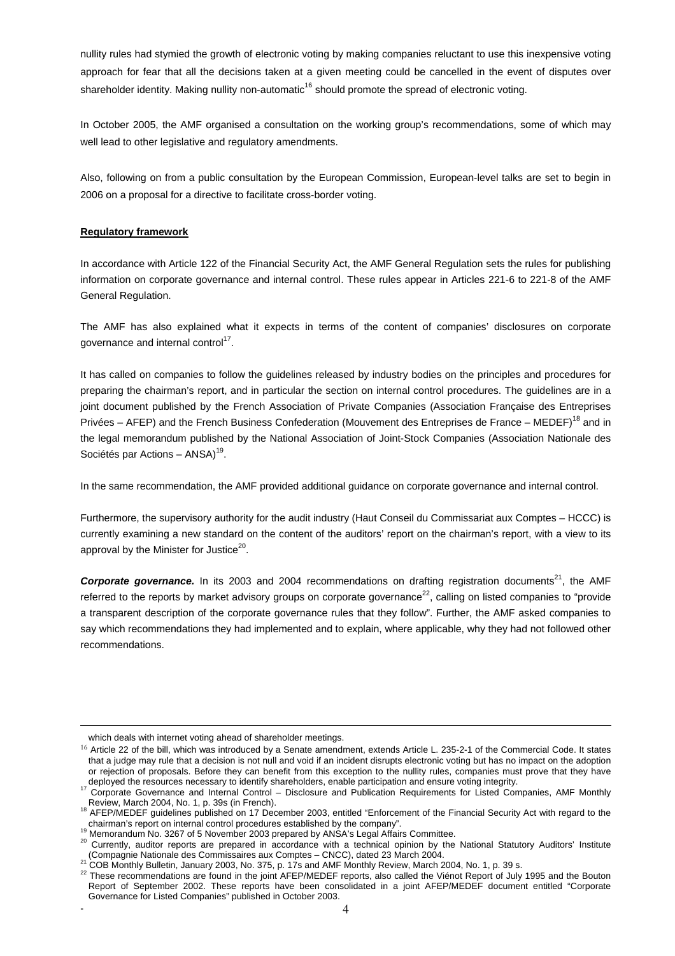nullity rules had stymied the growth of electronic voting by making companies reluctant to use this inexpensive voting approach for fear that all the decisions taken at a given meeting could be cancelled in the event of disputes over shareholder identity. Making nullity non-automatic<sup>16</sup> should promote the spread of electronic voting.

In October 2005, the AMF organised a consultation on the working group's recommendations, some of which may well lead to other legislative and regulatory amendments.

Also, following on from a public consultation by the European Commission, European-level talks are set to begin in 2006 on a proposal for a directive to facilitate cross-border voting.

#### **Regulatory framework**

In accordance with Article 122 of the Financial Security Act, the AMF General Regulation sets the rules for publishing information on corporate governance and internal control. These rules appear in Articles 221-6 to 221-8 of the AMF General Regulation.

The AMF has also explained what it expects in terms of the content of companies' disclosures on corporate governance and internal control<sup>17</sup>.

It has called on companies to follow the guidelines released by industry bodies on the principles and procedures for preparing the chairman's report, and in particular the section on internal control procedures. The guidelines are in a joint document published by the French Association of Private Companies (Association Française des Entreprises Privées – AFEP) and the French Business Confederation (Mouvement des Entreprises de France – MEDEF)<sup>18</sup> and in the legal memorandum published by the National Association of Joint-Stock Companies (Association Nationale des Sociétés par Actions –  $ANSA)^{19}$ .

In the same recommendation, the AMF provided additional guidance on corporate governance and internal control.

Furthermore, the supervisory authority for the audit industry (Haut Conseil du Commissariat aux Comptes – HCCC) is currently examining a new standard on the content of the auditors' report on the chairman's report, with a view to its approval by the Minister for Justice $20$ .

**Corporate governance.** In its 2003 and 2004 recommendations on drafting registration documents<sup>21</sup>, the AMF referred to the reports by market advisory groups on corporate governance<sup>22</sup>, calling on listed companies to "provide a transparent description of the corporate governance rules that they follow". Further, the AMF asked companies to say which recommendations they had implemented and to explain, where applicable, why they had not followed other recommendations.

which deals with internet voting ahead of shareholder meetings.

<sup>&</sup>lt;sup>16</sup> Article 22 of the bill, which was introduced by a Senate amendment, extends Article L. 235-2-1 of the Commercial Code. It states that a judge may rule that a decision is not null and void if an incident disrupts electronic voting but has no impact on the adoption or rejection of proposals. Before they can benefit from this exception to the nullity rules, companies must prove that they have

deployed the resources necessary to identify shareholders, enable participation and ensure voting integrity.<br><sup>17</sup> Corporate Governance and Internal Control – Disclosure and Publication Requirements for Listed Companies, AM

Review, March 2004, No. 1, p. 39s (in French). 18 AFEP/MEDEF guidelines published on 17 December 2003, entitled "Enforcement of the Financial Security Act with regard to the chairman's report on internal control procedures

Memorandum No. 3267 of 5 November 2003 prepared by ANSA's Legal Affairs Committee.<br><sup>20</sup> Currently, auditor reports are prepared in accordance with a technical opinion by the National Statutory Auditors' Institute<br>(Compagni

<sup>&</sup>lt;sup>21</sup> COB Monthly Bulletin, January 2003, No. 375, p. 17s and AMF Monthly Review, March 2004.<br><sup>21</sup> COB Monthly Bulletin, January 2003, No. 375, p. 17s and AMF Monthly Review, March 2004, No. 1, p. 39 s.<br><sup>22</sup> These recommend Report of September 2002. These reports have been consolidated in a joint AFEP/MEDEF document entitled "Corporate Governance for Listed Companies" published in October 2003.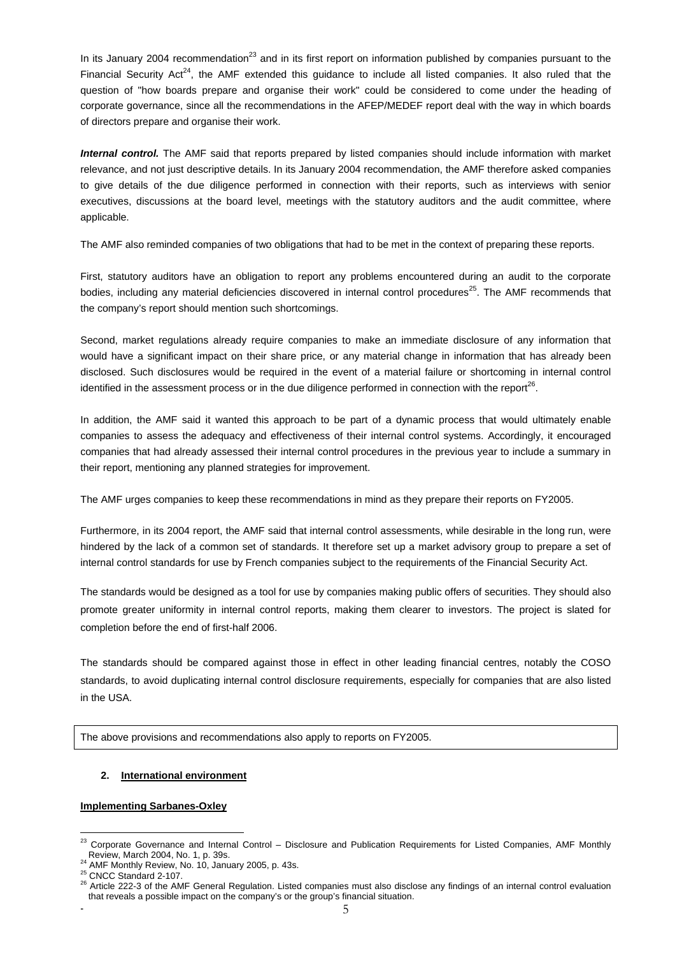In its January 2004 recommendation<sup>23</sup> and in its first report on information published by companies pursuant to the Financial Security Act<sup>24</sup>, the AMF extended this guidance to include all listed companies. It also ruled that the question of "how boards prepare and organise their work" could be considered to come under the heading of corporate governance, since all the recommendations in the AFEP/MEDEF report deal with the way in which boards of directors prepare and organise their work.

*Internal control.* The AMF said that reports prepared by listed companies should include information with market relevance, and not just descriptive details. In its January 2004 recommendation, the AMF therefore asked companies to give details of the due diligence performed in connection with their reports, such as interviews with senior executives, discussions at the board level, meetings with the statutory auditors and the audit committee, where applicable.

The AMF also reminded companies of two obligations that had to be met in the context of preparing these reports.

First, statutory auditors have an obligation to report any problems encountered during an audit to the corporate bodies, including any material deficiencies discovered in internal control procedures<sup>25</sup>. The AMF recommends that the company's report should mention such shortcomings.

Second, market regulations already require companies to make an immediate disclosure of any information that would have a significant impact on their share price, or any material change in information that has already been disclosed. Such disclosures would be required in the event of a material failure or shortcoming in internal control identified in the assessment process or in the due diligence performed in connection with the report $^{26}$ .

In addition, the AMF said it wanted this approach to be part of a dynamic process that would ultimately enable companies to assess the adequacy and effectiveness of their internal control systems. Accordingly, it encouraged companies that had already assessed their internal control procedures in the previous year to include a summary in their report, mentioning any planned strategies for improvement.

The AMF urges companies to keep these recommendations in mind as they prepare their reports on FY2005.

Furthermore, in its 2004 report, the AMF said that internal control assessments, while desirable in the long run, were hindered by the lack of a common set of standards. It therefore set up a market advisory group to prepare a set of internal control standards for use by French companies subject to the requirements of the Financial Security Act.

The standards would be designed as a tool for use by companies making public offers of securities. They should also promote greater uniformity in internal control reports, making them clearer to investors. The project is slated for completion before the end of first-half 2006.

The standards should be compared against those in effect in other leading financial centres, notably the COSO standards, to avoid duplicating internal control disclosure requirements, especially for companies that are also listed in the USA.

The above provisions and recommendations also apply to reports on FY2005.

# **2. International environment**

#### **Implementing Sarbanes-Oxley**

 $\overline{a}$  $^{23}$  Corporate Governance and Internal Control – Disclosure and Publication Requirements for Listed Companies, AMF Monthly<br>Review. March 2004. No. 1. p. 39s.

<sup>26</sup> AMF Monthly Review, No. 10, January 2005, p. 43s.<br>
<sup>24</sup> AMF Monthly Review, No. 10, January 2005, p. 43s.<br>
<sup>25</sup> CNCC Standard 2-107.<br>
<sup>26</sup> Article 222-3 of the AMF General Regulation. Listed companies must also disclose that reveals a possible impact on the company's or the group's financial situation.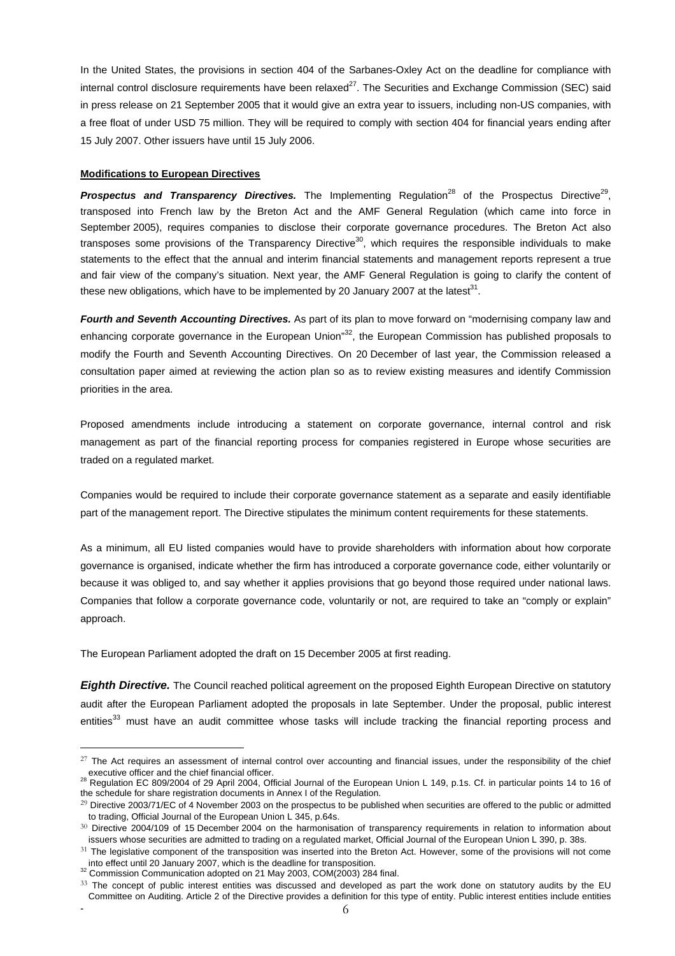In the United States, the provisions in section 404 of the Sarbanes-Oxley Act on the deadline for compliance with internal control disclosure requirements have been relaxed $27$ . The Securities and Exchange Commission (SEC) said in press release on 21 September 2005 that it would give an extra year to issuers, including non-US companies, with a free float of under USD 75 million. They will be required to comply with section 404 for financial years ending after 15 July 2007. Other issuers have until 15 July 2006.

#### **Modifications to European Directives**

**Prospectus and Transparency Directives.** The Implementing Regulation<sup>28</sup> of the Prospectus Directive<sup>29</sup>, transposed into French law by the Breton Act and the AMF General Regulation (which came into force in September 2005), requires companies to disclose their corporate governance procedures. The Breton Act also transposes some provisions of the Transparency Directive<sup>30</sup>, which requires the responsible individuals to make statements to the effect that the annual and interim financial statements and management reports represent a true and fair view of the company's situation. Next year, the AMF General Regulation is going to clarify the content of these new obligations, which have to be implemented by 20 January 2007 at the latest<sup>31</sup>.

*Fourth and Seventh Accounting Directives.* As part of its plan to move forward on "modernising company law and enhancing corporate governance in the European Union<sup>"32</sup>, the European Commission has published proposals to modify the Fourth and Seventh Accounting Directives. On 20 December of last year, the Commission released a consultation paper aimed at reviewing the action plan so as to review existing measures and identify Commission priorities in the area.

Proposed amendments include introducing a statement on corporate governance, internal control and risk management as part of the financial reporting process for companies registered in Europe whose securities are traded on a regulated market.

Companies would be required to include their corporate governance statement as a separate and easily identifiable part of the management report. The Directive stipulates the minimum content requirements for these statements.

As a minimum, all EU listed companies would have to provide shareholders with information about how corporate governance is organised, indicate whether the firm has introduced a corporate governance code, either voluntarily or because it was obliged to, and say whether it applies provisions that go beyond those required under national laws. Companies that follow a corporate governance code, voluntarily or not, are required to take an "comply or explain" approach.

The European Parliament adopted the draft on 15 December 2005 at first reading.

*Eighth Directive.* The Council reached political agreement on the proposed Eighth European Directive on statutory audit after the European Parliament adopted the proposals in late September. Under the proposal, public interest entities<sup>33</sup> must have an audit committee whose tasks will include tracking the financial reporting process and

 $27$  The Act requires an assessment of internal control over accounting and financial issues, under the responsibility of the chief executive officer and the chief financial officer.<br><sup>28</sup> Regulation EC 809/2004 of 29 April 2004, Official Journal of the European Union L 149, p.1s. Cf. in particular points 14 to 16 of

the schedule for share registration documents in Annex I of the Regulation.

<sup>&</sup>lt;sup>29</sup> Directive 2003/71/EC of 4 November 2003 on the prospectus to be published when securities are offered to the public or admitted to trading, Official Journal of the European Union L 345, p.64s.

 $30$  Directive 2004/109 of 15 December 2004 on the harmonisation of transparency requirements in relation to information about issuers whose securities are admitted to trading on a regulated market, Official Journal of the European Union L 390, p. 38s.

 $31$  The legislative component of the transposition was inserted into the Breton Act. However, some of the provisions will not come into effect until 20 January 2007, which is the deadline for transposition.<br><sup>2</sup> Commission Communication adopted on 21 May 2003, COM(2003) 284 final.

 $\sim$  6 33 The concept of public interest entities was discussed and developed as part the work done on statutory audits by the EU Committee on Auditing. Article 2 of the Directive provides a definition for this type of entity. Public interest entities include entities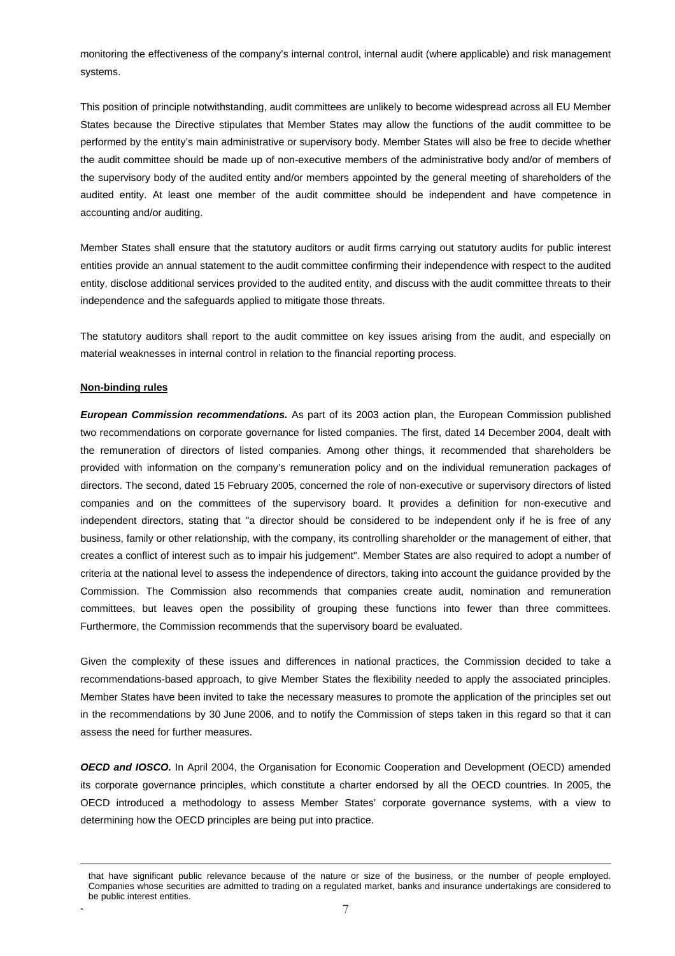monitoring the effectiveness of the company's internal control, internal audit (where applicable) and risk management systems.

This position of principle notwithstanding, audit committees are unlikely to become widespread across all EU Member States because the Directive stipulates that Member States may allow the functions of the audit committee to be performed by the entity's main administrative or supervisory body. Member States will also be free to decide whether the audit committee should be made up of non-executive members of the administrative body and/or of members of the supervisory body of the audited entity and/or members appointed by the general meeting of shareholders of the audited entity. At least one member of the audit committee should be independent and have competence in accounting and/or auditing.

Member States shall ensure that the statutory auditors or audit firms carrying out statutory audits for public interest entities provide an annual statement to the audit committee confirming their independence with respect to the audited entity, disclose additional services provided to the audited entity, and discuss with the audit committee threats to their independence and the safeguards applied to mitigate those threats.

The statutory auditors shall report to the audit committee on key issues arising from the audit, and especially on material weaknesses in internal control in relation to the financial reporting process.

#### **Non-binding rules**

 $\overline{a}$ 

*European Commission recommendations.* As part of its 2003 action plan, the European Commission published two recommendations on corporate governance for listed companies. The first, dated 14 December 2004, dealt with the remuneration of directors of listed companies. Among other things, it recommended that shareholders be provided with information on the company's remuneration policy and on the individual remuneration packages of directors. The second, dated 15 February 2005, concerned the role of non-executive or supervisory directors of listed companies and on the committees of the supervisory board. It provides a definition for non-executive and independent directors, stating that "a director should be considered to be independent only if he is free of any business, family or other relationship, with the company, its controlling shareholder or the management of either, that creates a conflict of interest such as to impair his judgement". Member States are also required to adopt a number of criteria at the national level to assess the independence of directors, taking into account the guidance provided by the Commission. The Commission also recommends that companies create audit, nomination and remuneration committees, but leaves open the possibility of grouping these functions into fewer than three committees. Furthermore, the Commission recommends that the supervisory board be evaluated.

Given the complexity of these issues and differences in national practices, the Commission decided to take a recommendations-based approach, to give Member States the flexibility needed to apply the associated principles. Member States have been invited to take the necessary measures to promote the application of the principles set out in the recommendations by 30 June 2006, and to notify the Commission of steps taken in this regard so that it can assess the need for further measures.

*OECD and IOSCO.* In April 2004, the Organisation for Economic Cooperation and Development (OECD) amended its corporate governance principles, which constitute a charter endorsed by all the OECD countries. In 2005, the OECD introduced a methodology to assess Member States' corporate governance systems, with a view to determining how the OECD principles are being put into practice.

that have significant public relevance because of the nature or size of the business, or the number of people employed. Companies whose securities are admitted to trading on a regulated market, banks and insurance undertakings are considered to be public interest entities.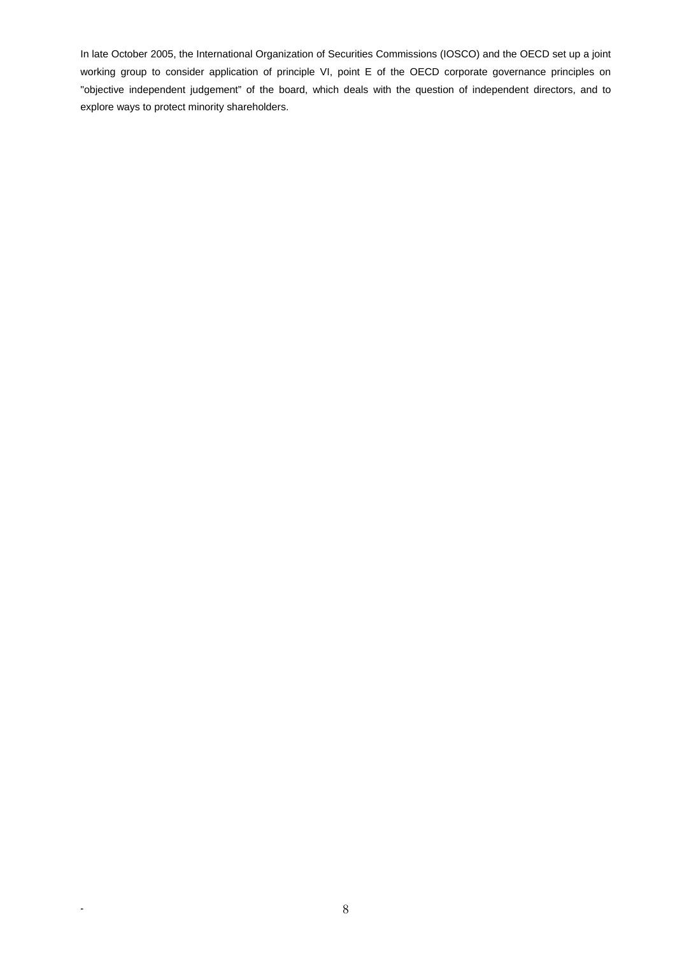In late October 2005, the International Organization of Securities Commissions (IOSCO) and the OECD set up a joint working group to consider application of principle VI, point E of the OECD corporate governance principles on "objective independent judgement" of the board, which deals with the question of independent directors, and to explore ways to protect minority shareholders.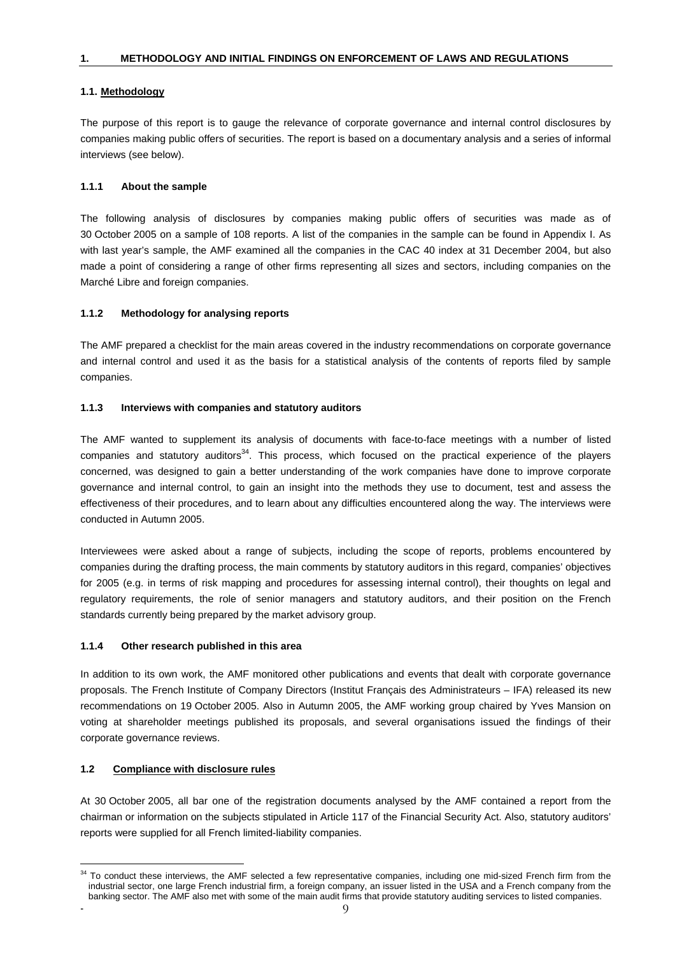# **1.1. Methodology**

The purpose of this report is to gauge the relevance of corporate governance and internal control disclosures by companies making public offers of securities. The report is based on a documentary analysis and a series of informal interviews (see below).

# **1.1.1 About the sample**

The following analysis of disclosures by companies making public offers of securities was made as of 30 October 2005 on a sample of 108 reports. A list of the companies in the sample can be found in Appendix I. As with last year's sample, the AMF examined all the companies in the CAC 40 index at 31 December 2004, but also made a point of considering a range of other firms representing all sizes and sectors, including companies on the Marché Libre and foreign companies.

#### **1.1.2 Methodology for analysing reports**

The AMF prepared a checklist for the main areas covered in the industry recommendations on corporate governance and internal control and used it as the basis for a statistical analysis of the contents of reports filed by sample companies.

#### **1.1.3 Interviews with companies and statutory auditors**

The AMF wanted to supplement its analysis of documents with face-to-face meetings with a number of listed companies and statutory auditors<sup>34</sup>. This process, which focused on the practical experience of the players concerned, was designed to gain a better understanding of the work companies have done to improve corporate governance and internal control, to gain an insight into the methods they use to document, test and assess the effectiveness of their procedures, and to learn about any difficulties encountered along the way. The interviews were conducted in Autumn 2005.

Interviewees were asked about a range of subjects, including the scope of reports, problems encountered by companies during the drafting process, the main comments by statutory auditors in this regard, companies' objectives for 2005 (e.g. in terms of risk mapping and procedures for assessing internal control), their thoughts on legal and regulatory requirements, the role of senior managers and statutory auditors, and their position on the French standards currently being prepared by the market advisory group.

# **1.1.4 Other research published in this area**

In addition to its own work, the AMF monitored other publications and events that dealt with corporate governance proposals. The French Institute of Company Directors (Institut Français des Administrateurs – IFA) released its new recommendations on 19 October 2005. Also in Autumn 2005, the AMF working group chaired by Yves Mansion on voting at shareholder meetings published its proposals, and several organisations issued the findings of their corporate governance reviews.

# **1.2 Compliance with disclosure rules**

 $\overline{a}$ 

At 30 October 2005, all bar one of the registration documents analysed by the AMF contained a report from the chairman or information on the subjects stipulated in Article 117 of the Financial Security Act. Also, statutory auditors' reports were supplied for all French limited-liability companies.

 $34$  To conduct these interviews, the AMF selected a few representative companies, including one mid-sized French firm from the industrial sector, one large French industrial firm, a foreign company, an issuer listed in the USA and a French company from the banking sector. The AMF also met with some of the main audit firms that provide statutory auditing services to listed companies.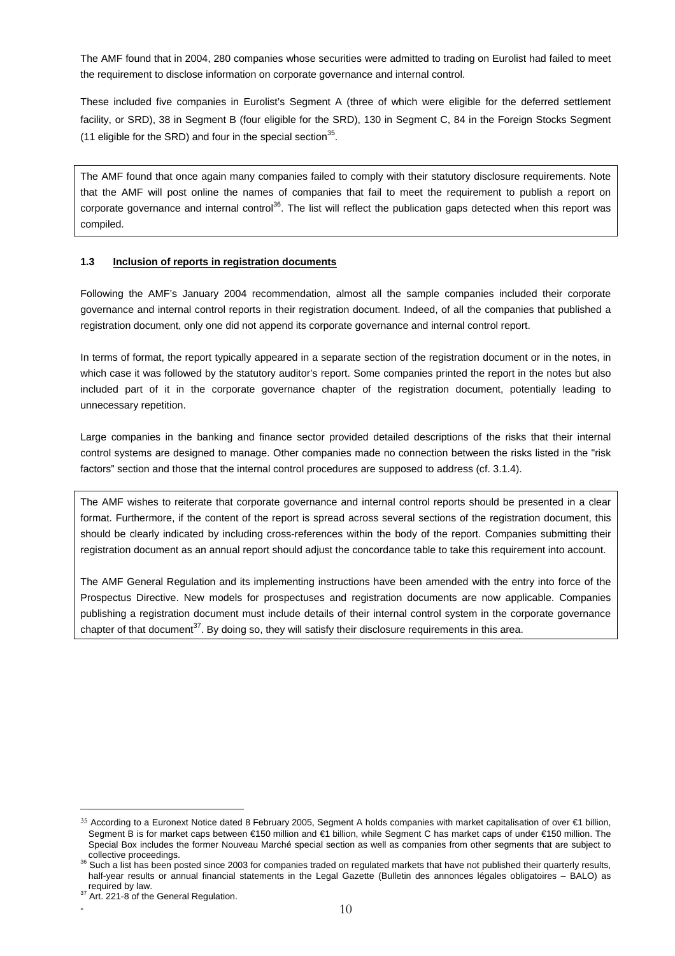The AMF found that in 2004, 280 companies whose securities were admitted to trading on Eurolist had failed to meet the requirement to disclose information on corporate governance and internal control.

These included five companies in Eurolist's Segment A (three of which were eligible for the deferred settlement facility, or SRD), 38 in Segment B (four eligible for the SRD), 130 in Segment C, 84 in the Foreign Stocks Segment (11 eligible for the SRD) and four in the special section<sup>35</sup>.

The AMF found that once again many companies failed to comply with their statutory disclosure requirements. Note that the AMF will post online the names of companies that fail to meet the requirement to publish a report on corporate governance and internal control<sup>36</sup>. The list will reflect the publication gaps detected when this report was compiled.

#### **1.3 Inclusion of reports in registration documents**

Following the AMF's January 2004 recommendation, almost all the sample companies included their corporate governance and internal control reports in their registration document. Indeed, of all the companies that published a registration document, only one did not append its corporate governance and internal control report.

In terms of format, the report typically appeared in a separate section of the registration document or in the notes, in which case it was followed by the statutory auditor's report. Some companies printed the report in the notes but also included part of it in the corporate governance chapter of the registration document, potentially leading to unnecessary repetition.

Large companies in the banking and finance sector provided detailed descriptions of the risks that their internal control systems are designed to manage. Other companies made no connection between the risks listed in the "risk factors" section and those that the internal control procedures are supposed to address (cf. 3.1.4).

The AMF wishes to reiterate that corporate governance and internal control reports should be presented in a clear format. Furthermore, if the content of the report is spread across several sections of the registration document, this should be clearly indicated by including cross-references within the body of the report. Companies submitting their registration document as an annual report should adjust the concordance table to take this requirement into account.

The AMF General Regulation and its implementing instructions have been amended with the entry into force of the Prospectus Directive. New models for prospectuses and registration documents are now applicable. Companies publishing a registration document must include details of their internal control system in the corporate governance chapter of that document<sup>37</sup>. By doing so, they will satisfy their disclosure requirements in this area.

<sup>35</sup> According to a Euronext Notice dated 8 February 2005, Segment A holds companies with market capitalisation of over €1 billion, Segment B is for market caps between €150 million and €1 billion, while Segment C has market caps of under €150 million. The Special Box includes the former Nouveau Marché special section as well as companies from other segments that are subject to

collective proceedings.<br><sup>36</sup> Such a list has been posted since 2003 for companies traded on regulated markets that have not published their quarterly results, half-year results or annual financial statements in the Legal Gazette (Bulletin des annonces légales obligatoires – BALO) as required by law.

<sup>37</sup> Art. 221-8 of the General Regulation.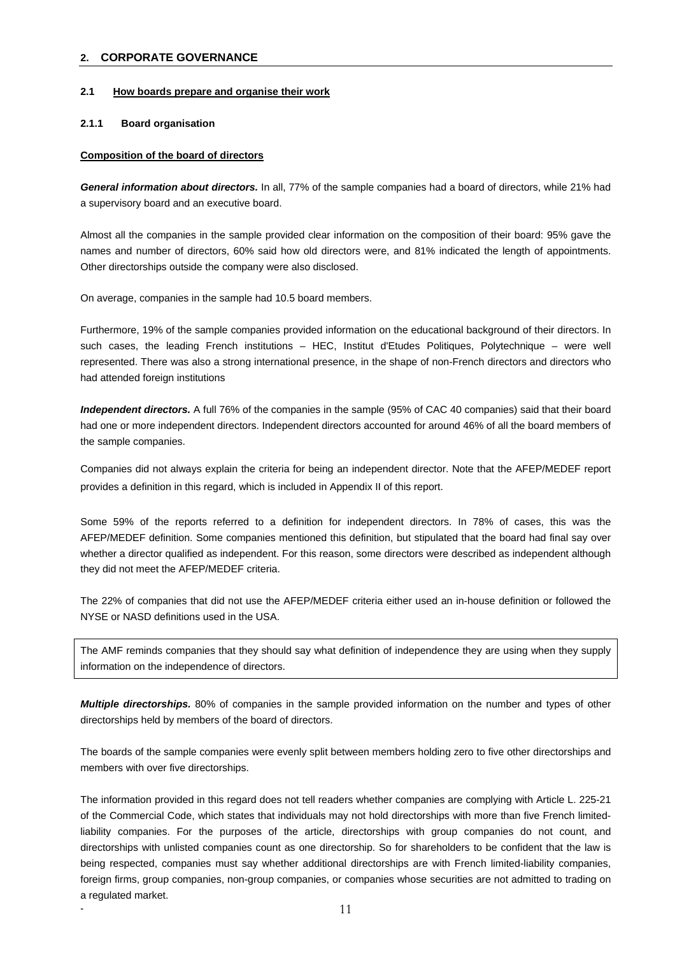## **2. CORPORATE GOVERNANCE**

#### **2.1 How boards prepare and organise their work**

#### **2.1.1 Board organisation**

#### **Composition of the board of directors**

*General information about directors.* In all, 77% of the sample companies had a board of directors, while 21% had a supervisory board and an executive board.

Almost all the companies in the sample provided clear information on the composition of their board: 95% gave the names and number of directors, 60% said how old directors were, and 81% indicated the length of appointments. Other directorships outside the company were also disclosed.

On average, companies in the sample had 10.5 board members.

Furthermore, 19% of the sample companies provided information on the educational background of their directors. In such cases, the leading French institutions – HEC, Institut d'Etudes Politiques, Polytechnique – were well represented. There was also a strong international presence, in the shape of non-French directors and directors who had attended foreign institutions

*Independent directors.* A full 76% of the companies in the sample (95% of CAC 40 companies) said that their board had one or more independent directors. Independent directors accounted for around 46% of all the board members of the sample companies.

Companies did not always explain the criteria for being an independent director. Note that the AFEP/MEDEF report provides a definition in this regard, which is included in Appendix II of this report.

Some 59% of the reports referred to a definition for independent directors. In 78% of cases, this was the AFEP/MEDEF definition. Some companies mentioned this definition, but stipulated that the board had final say over whether a director qualified as independent. For this reason, some directors were described as independent although they did not meet the AFEP/MEDEF criteria.

The 22% of companies that did not use the AFEP/MEDEF criteria either used an in-house definition or followed the NYSE or NASD definitions used in the USA.

The AMF reminds companies that they should say what definition of independence they are using when they supply information on the independence of directors.

*Multiple directorships.* 80% of companies in the sample provided information on the number and types of other directorships held by members of the board of directors.

The boards of the sample companies were evenly split between members holding zero to five other directorships and members with over five directorships.

The information provided in this regard does not tell readers whether companies are complying with Article L. 225-21 of the Commercial Code, which states that individuals may not hold directorships with more than five French limitedliability companies. For the purposes of the article, directorships with group companies do not count, and directorships with unlisted companies count as one directorship. So for shareholders to be confident that the law is being respected, companies must say whether additional directorships are with French limited-liability companies, foreign firms, group companies, non-group companies, or companies whose securities are not admitted to trading on a regulated market.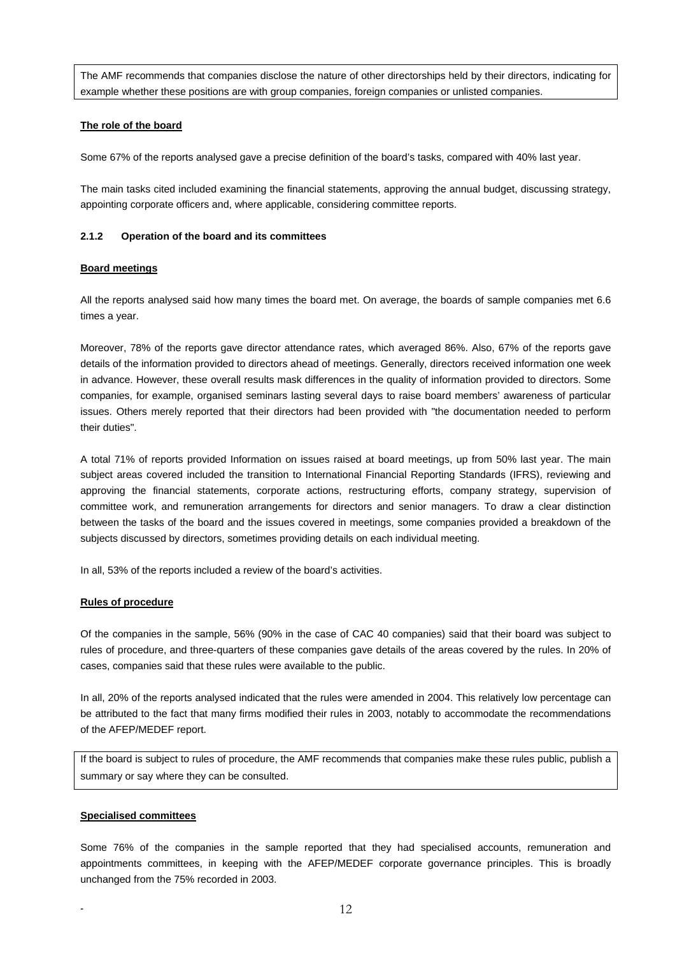The AMF recommends that companies disclose the nature of other directorships held by their directors, indicating for example whether these positions are with group companies, foreign companies or unlisted companies.

# **The role of the board**

Some 67% of the reports analysed gave a precise definition of the board's tasks, compared with 40% last year.

The main tasks cited included examining the financial statements, approving the annual budget, discussing strategy, appointing corporate officers and, where applicable, considering committee reports.

# **2.1.2 Operation of the board and its committees**

# **Board meetings**

All the reports analysed said how many times the board met. On average, the boards of sample companies met 6.6 times a year.

Moreover, 78% of the reports gave director attendance rates, which averaged 86%. Also, 67% of the reports gave details of the information provided to directors ahead of meetings. Generally, directors received information one week in advance. However, these overall results mask differences in the quality of information provided to directors. Some companies, for example, organised seminars lasting several days to raise board members' awareness of particular issues. Others merely reported that their directors had been provided with "the documentation needed to perform their duties".

A total 71% of reports provided Information on issues raised at board meetings, up from 50% last year. The main subject areas covered included the transition to International Financial Reporting Standards (IFRS), reviewing and approving the financial statements, corporate actions, restructuring efforts, company strategy, supervision of committee work, and remuneration arrangements for directors and senior managers. To draw a clear distinction between the tasks of the board and the issues covered in meetings, some companies provided a breakdown of the subjects discussed by directors, sometimes providing details on each individual meeting.

In all, 53% of the reports included a review of the board's activities.

# **Rules of procedure**

Of the companies in the sample, 56% (90% in the case of CAC 40 companies) said that their board was subject to rules of procedure, and three-quarters of these companies gave details of the areas covered by the rules. In 20% of cases, companies said that these rules were available to the public.

In all, 20% of the reports analysed indicated that the rules were amended in 2004. This relatively low percentage can be attributed to the fact that many firms modified their rules in 2003, notably to accommodate the recommendations of the AFEP/MEDEF report.

If the board is subject to rules of procedure, the AMF recommends that companies make these rules public, publish a summary or say where they can be consulted.

# **Specialised committees**

Some 76% of the companies in the sample reported that they had specialised accounts, remuneration and appointments committees, in keeping with the AFEP/MEDEF corporate governance principles. This is broadly unchanged from the 75% recorded in 2003.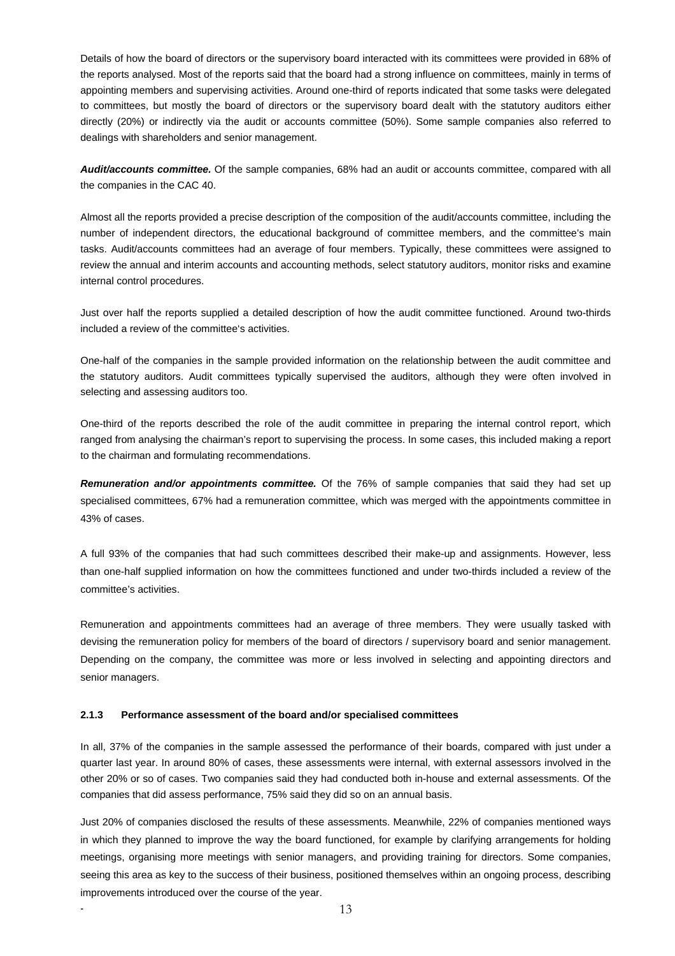Details of how the board of directors or the supervisory board interacted with its committees were provided in 68% of the reports analysed. Most of the reports said that the board had a strong influence on committees, mainly in terms of appointing members and supervising activities. Around one-third of reports indicated that some tasks were delegated to committees, but mostly the board of directors or the supervisory board dealt with the statutory auditors either directly (20%) or indirectly via the audit or accounts committee (50%). Some sample companies also referred to dealings with shareholders and senior management.

*Audit/accounts committee.* Of the sample companies, 68% had an audit or accounts committee, compared with all the companies in the CAC 40.

Almost all the reports provided a precise description of the composition of the audit/accounts committee, including the number of independent directors, the educational background of committee members, and the committee's main tasks. Audit/accounts committees had an average of four members. Typically, these committees were assigned to review the annual and interim accounts and accounting methods, select statutory auditors, monitor risks and examine internal control procedures.

Just over half the reports supplied a detailed description of how the audit committee functioned. Around two-thirds included a review of the committee's activities.

One-half of the companies in the sample provided information on the relationship between the audit committee and the statutory auditors. Audit committees typically supervised the auditors, although they were often involved in selecting and assessing auditors too.

One-third of the reports described the role of the audit committee in preparing the internal control report, which ranged from analysing the chairman's report to supervising the process. In some cases, this included making a report to the chairman and formulating recommendations.

*Remuneration and/or appointments committee.* Of the 76% of sample companies that said they had set up specialised committees, 67% had a remuneration committee, which was merged with the appointments committee in 43% of cases.

A full 93% of the companies that had such committees described their make-up and assignments. However, less than one-half supplied information on how the committees functioned and under two-thirds included a review of the committee's activities.

Remuneration and appointments committees had an average of three members. They were usually tasked with devising the remuneration policy for members of the board of directors / supervisory board and senior management. Depending on the company, the committee was more or less involved in selecting and appointing directors and senior managers.

# **2.1.3 Performance assessment of the board and/or specialised committees**

In all, 37% of the companies in the sample assessed the performance of their boards, compared with just under a quarter last year. In around 80% of cases, these assessments were internal, with external assessors involved in the other 20% or so of cases. Two companies said they had conducted both in-house and external assessments. Of the companies that did assess performance, 75% said they did so on an annual basis.

Just 20% of companies disclosed the results of these assessments. Meanwhile, 22% of companies mentioned ways in which they planned to improve the way the board functioned, for example by clarifying arrangements for holding meetings, organising more meetings with senior managers, and providing training for directors. Some companies, seeing this area as key to the success of their business, positioned themselves within an ongoing process, describing improvements introduced over the course of the year.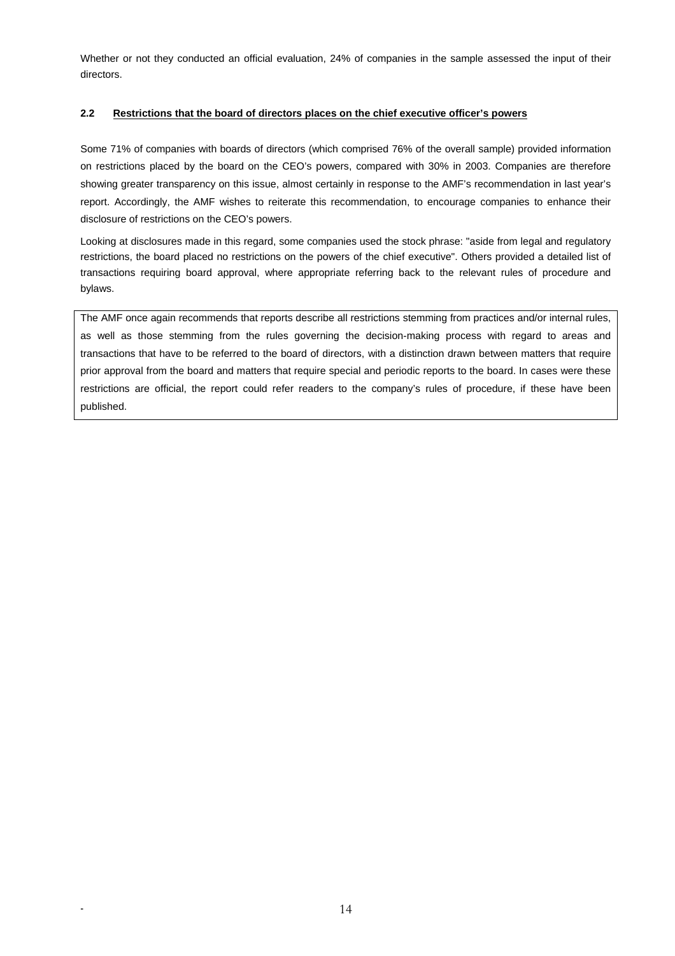Whether or not they conducted an official evaluation, 24% of companies in the sample assessed the input of their directors.

# **2.2 Restrictions that the board of directors places on the chief executive officer's powers**

Some 71% of companies with boards of directors (which comprised 76% of the overall sample) provided information on restrictions placed by the board on the CEO's powers, compared with 30% in 2003. Companies are therefore showing greater transparency on this issue, almost certainly in response to the AMF's recommendation in last year's report. Accordingly, the AMF wishes to reiterate this recommendation, to encourage companies to enhance their disclosure of restrictions on the CEO's powers.

Looking at disclosures made in this regard, some companies used the stock phrase: "aside from legal and regulatory restrictions, the board placed no restrictions on the powers of the chief executive". Others provided a detailed list of transactions requiring board approval, where appropriate referring back to the relevant rules of procedure and bylaws.

The AMF once again recommends that reports describe all restrictions stemming from practices and/or internal rules, as well as those stemming from the rules governing the decision-making process with regard to areas and transactions that have to be referred to the board of directors, with a distinction drawn between matters that require prior approval from the board and matters that require special and periodic reports to the board. In cases were these restrictions are official, the report could refer readers to the company's rules of procedure, if these have been published.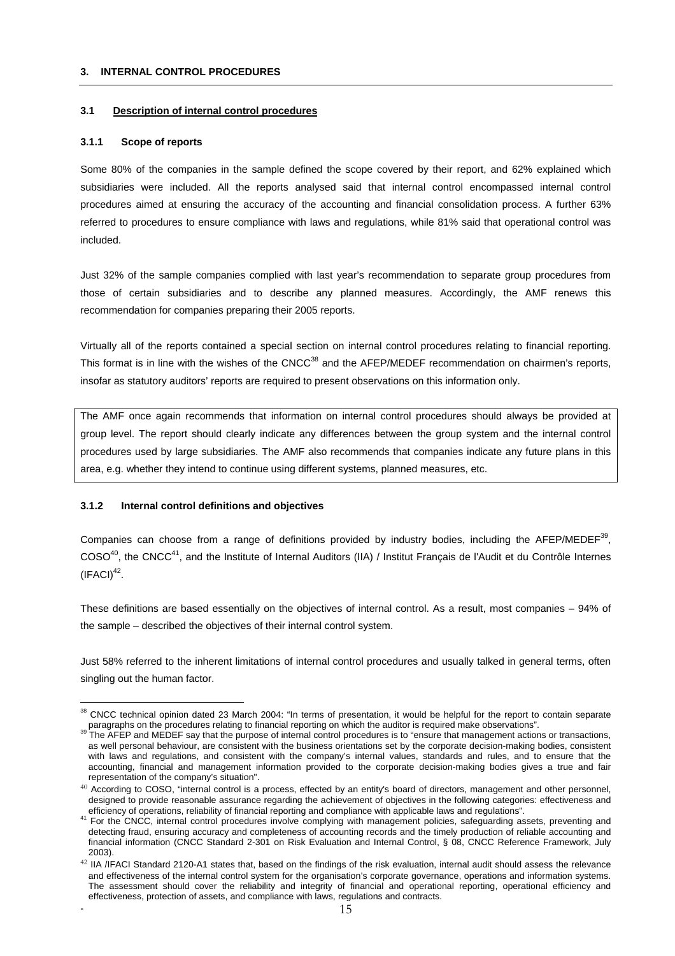#### **3. INTERNAL CONTROL PROCEDURES**

#### **3.1 Description of internal control procedures**

#### **3.1.1 Scope of reports**

Some 80% of the companies in the sample defined the scope covered by their report, and 62% explained which subsidiaries were included. All the reports analysed said that internal control encompassed internal control procedures aimed at ensuring the accuracy of the accounting and financial consolidation process. A further 63% referred to procedures to ensure compliance with laws and regulations, while 81% said that operational control was included.

Just 32% of the sample companies complied with last year's recommendation to separate group procedures from those of certain subsidiaries and to describe any planned measures. Accordingly, the AMF renews this recommendation for companies preparing their 2005 reports.

Virtually all of the reports contained a special section on internal control procedures relating to financial reporting. This format is in line with the wishes of the CNCC<sup>38</sup> and the AFEP/MEDEF recommendation on chairmen's reports, insofar as statutory auditors' reports are required to present observations on this information only.

The AMF once again recommends that information on internal control procedures should always be provided at group level. The report should clearly indicate any differences between the group system and the internal control procedures used by large subsidiaries. The AMF also recommends that companies indicate any future plans in this area, e.g. whether they intend to continue using different systems, planned measures, etc.

#### **3.1.2 Internal control definitions and objectives**

 $\overline{a}$ 

Companies can choose from a range of definitions provided by industry bodies, including the AFEP/MEDEF $^{39}$ , COSO40, the CNCC41, and the Institute of Internal Auditors (IIA) / Institut Français de l'Audit et du Contrôle Internes  $(IFACI)^{42}$ .

These definitions are based essentially on the objectives of internal control. As a result, most companies – 94% of the sample – described the objectives of their internal control system.

Just 58% referred to the inherent limitations of internal control procedures and usually talked in general terms, often singling out the human factor.

 $38$  CNCC technical opinion dated 23 March 2004: "In terms of presentation, it would be helpful for the report to contain separate paragraphs on the procedures relating to financial reporting on which the auditor is required make observations".<br><sup>39</sup> The AFEP and MEDEF say that the purpose of internal control procedures is to "ensure that management ac

as well personal behaviour, are consistent with the business orientations set by the corporate decision-making bodies, consistent with laws and regulations, and consistent with the company's internal values, standards and rules, and to ensure that the accounting, financial and management information provided to the corporate decision-making bodies gives a true and fair representation of the company's situation".

 $40$  According to COSO, "internal control is a process, effected by an entity's board of directors, management and other personnel, designed to provide reasonable assurance regarding the achievement of objectives in the following categories: effectiveness and

efficiency of operations, reliability of financial reporting and compliance with applicable laws and regulations".<br><sup>41</sup> For the CNCC, internal control procedures involve complying with management policies, safeguarding ass detecting fraud, ensuring accuracy and completeness of accounting records and the timely production of reliable accounting and financial information (CNCC Standard 2-301 on Risk Evaluation and Internal Control, § 08, CNCC Reference Framework, July 2003).

<sup>42</sup> IIA /IFACI Standard 2120-A1 states that, based on the findings of the risk evaluation, internal audit should assess the relevance and effectiveness of the internal control system for the organisation's corporate governance, operations and information systems. The assessment should cover the reliability and integrity of financial and operational reporting, operational efficiency and effectiveness, protection of assets, and compliance with laws, regulations and contracts.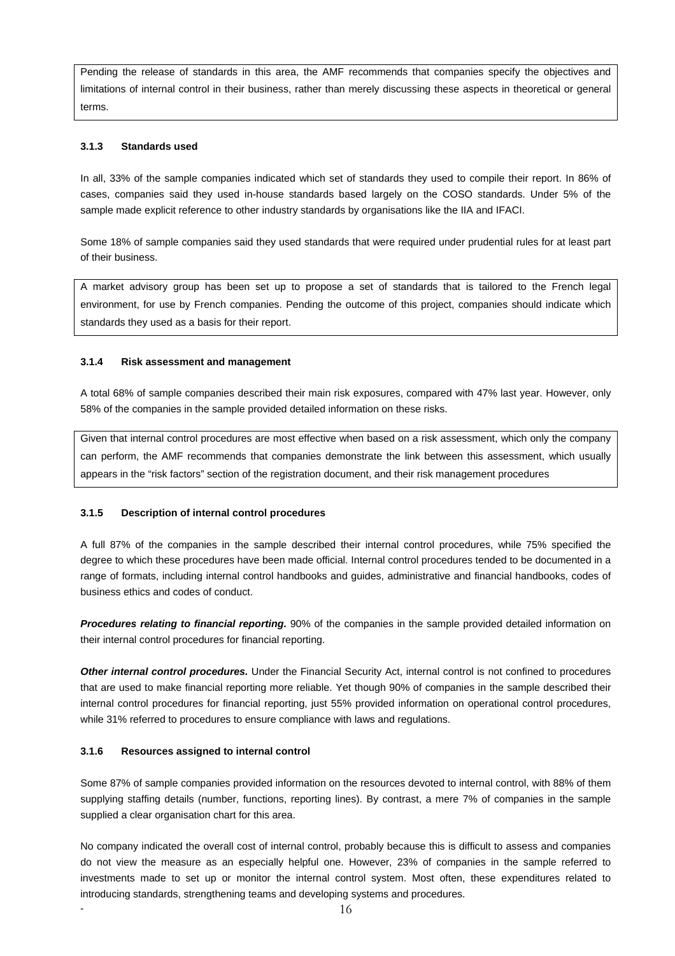Pending the release of standards in this area, the AMF recommends that companies specify the objectives and limitations of internal control in their business, rather than merely discussing these aspects in theoretical or general terms.

# **3.1.3 Standards used**

In all, 33% of the sample companies indicated which set of standards they used to compile their report. In 86% of cases, companies said they used in-house standards based largely on the COSO standards. Under 5% of the sample made explicit reference to other industry standards by organisations like the IIA and IFACI.

Some 18% of sample companies said they used standards that were required under prudential rules for at least part of their business.

A market advisory group has been set up to propose a set of standards that is tailored to the French legal environment, for use by French companies. Pending the outcome of this project, companies should indicate which standards they used as a basis for their report.

#### **3.1.4 Risk assessment and management**

A total 68% of sample companies described their main risk exposures, compared with 47% last year. However, only 58% of the companies in the sample provided detailed information on these risks.

Given that internal control procedures are most effective when based on a risk assessment, which only the company can perform, the AMF recommends that companies demonstrate the link between this assessment, which usually appears in the "risk factors" section of the registration document, and their risk management procedures

# **3.1.5 Description of internal control procedures**

A full 87% of the companies in the sample described their internal control procedures, while 75% specified the degree to which these procedures have been made official. Internal control procedures tended to be documented in a range of formats, including internal control handbooks and guides, administrative and financial handbooks, codes of business ethics and codes of conduct.

*Procedures relating to financial reporting.* 90% of the companies in the sample provided detailed information on their internal control procedures for financial reporting.

*Other internal control procedures.* Under the Financial Security Act, internal control is not confined to procedures that are used to make financial reporting more reliable. Yet though 90% of companies in the sample described their internal control procedures for financial reporting, just 55% provided information on operational control procedures, while 31% referred to procedures to ensure compliance with laws and regulations.

#### **3.1.6 Resources assigned to internal control**

Some 87% of sample companies provided information on the resources devoted to internal control, with 88% of them supplying staffing details (number, functions, reporting lines). By contrast, a mere 7% of companies in the sample supplied a clear organisation chart for this area.

No company indicated the overall cost of internal control, probably because this is difficult to assess and companies do not view the measure as an especially helpful one. However, 23% of companies in the sample referred to investments made to set up or monitor the internal control system. Most often, these expenditures related to introducing standards, strengthening teams and developing systems and procedures.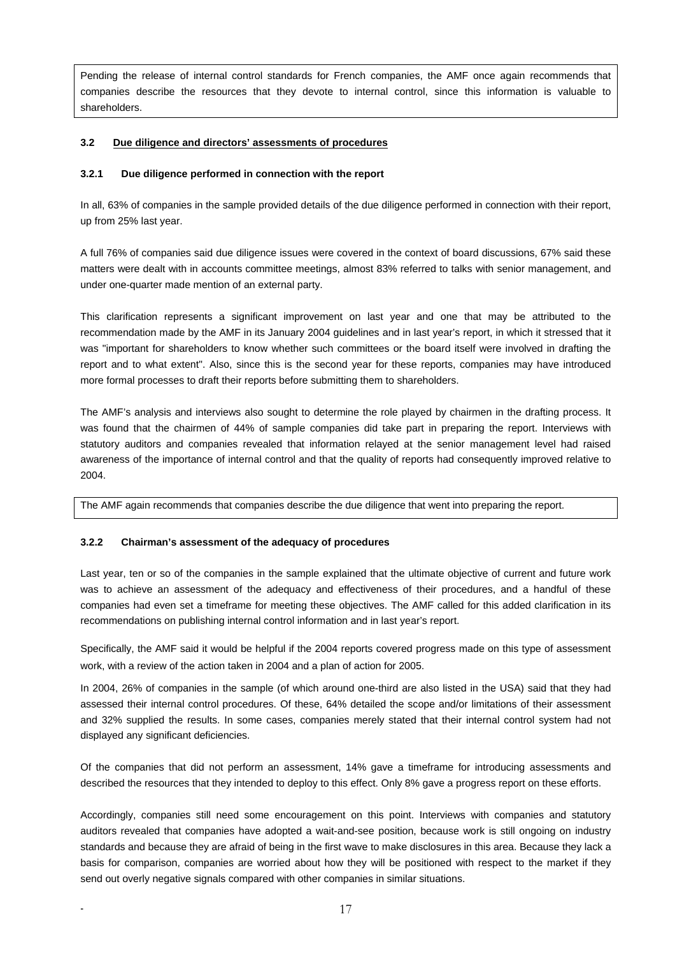Pending the release of internal control standards for French companies, the AMF once again recommends that companies describe the resources that they devote to internal control, since this information is valuable to shareholders.

# **3.2 Due diligence and directors' assessments of procedures**

#### **3.2.1 Due diligence performed in connection with the report**

In all, 63% of companies in the sample provided details of the due diligence performed in connection with their report, up from 25% last year.

A full 76% of companies said due diligence issues were covered in the context of board discussions, 67% said these matters were dealt with in accounts committee meetings, almost 83% referred to talks with senior management, and under one-quarter made mention of an external party.

This clarification represents a significant improvement on last year and one that may be attributed to the recommendation made by the AMF in its January 2004 guidelines and in last year's report, in which it stressed that it was "important for shareholders to know whether such committees or the board itself were involved in drafting the report and to what extent". Also, since this is the second year for these reports, companies may have introduced more formal processes to draft their reports before submitting them to shareholders.

The AMF's analysis and interviews also sought to determine the role played by chairmen in the drafting process. It was found that the chairmen of 44% of sample companies did take part in preparing the report. Interviews with statutory auditors and companies revealed that information relayed at the senior management level had raised awareness of the importance of internal control and that the quality of reports had consequently improved relative to 2004.

The AMF again recommends that companies describe the due diligence that went into preparing the report.

#### **3.2.2 Chairman's assessment of the adequacy of procedures**

Last year, ten or so of the companies in the sample explained that the ultimate objective of current and future work was to achieve an assessment of the adequacy and effectiveness of their procedures, and a handful of these companies had even set a timeframe for meeting these objectives. The AMF called for this added clarification in its recommendations on publishing internal control information and in last year's report.

Specifically, the AMF said it would be helpful if the 2004 reports covered progress made on this type of assessment work, with a review of the action taken in 2004 and a plan of action for 2005.

In 2004, 26% of companies in the sample (of which around one-third are also listed in the USA) said that they had assessed their internal control procedures. Of these, 64% detailed the scope and/or limitations of their assessment and 32% supplied the results. In some cases, companies merely stated that their internal control system had not displayed any significant deficiencies.

Of the companies that did not perform an assessment, 14% gave a timeframe for introducing assessments and described the resources that they intended to deploy to this effect. Only 8% gave a progress report on these efforts.

Accordingly, companies still need some encouragement on this point. Interviews with companies and statutory auditors revealed that companies have adopted a wait-and-see position, because work is still ongoing on industry standards and because they are afraid of being in the first wave to make disclosures in this area. Because they lack a basis for comparison, companies are worried about how they will be positioned with respect to the market if they send out overly negative signals compared with other companies in similar situations.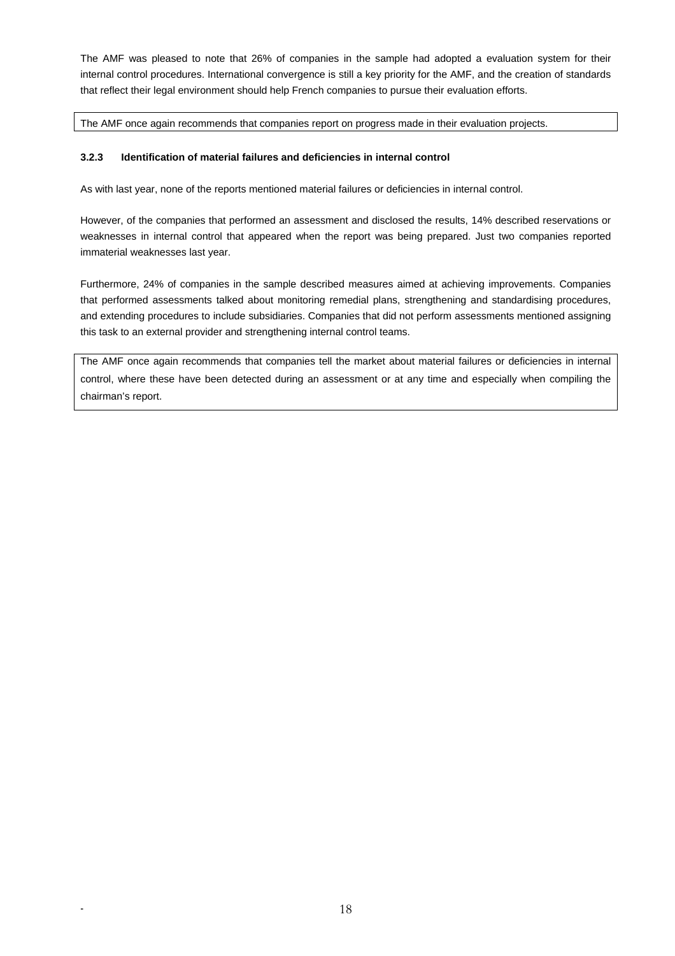The AMF was pleased to note that 26% of companies in the sample had adopted a evaluation system for their internal control procedures. International convergence is still a key priority for the AMF, and the creation of standards that reflect their legal environment should help French companies to pursue their evaluation efforts.

The AMF once again recommends that companies report on progress made in their evaluation projects.

# **3.2.3 Identification of material failures and deficiencies in internal control**

As with last year, none of the reports mentioned material failures or deficiencies in internal control.

However, of the companies that performed an assessment and disclosed the results, 14% described reservations or weaknesses in internal control that appeared when the report was being prepared. Just two companies reported immaterial weaknesses last year.

Furthermore, 24% of companies in the sample described measures aimed at achieving improvements. Companies that performed assessments talked about monitoring remedial plans, strengthening and standardising procedures, and extending procedures to include subsidiaries. Companies that did not perform assessments mentioned assigning this task to an external provider and strengthening internal control teams.

The AMF once again recommends that companies tell the market about material failures or deficiencies in internal control, where these have been detected during an assessment or at any time and especially when compiling the chairman's report.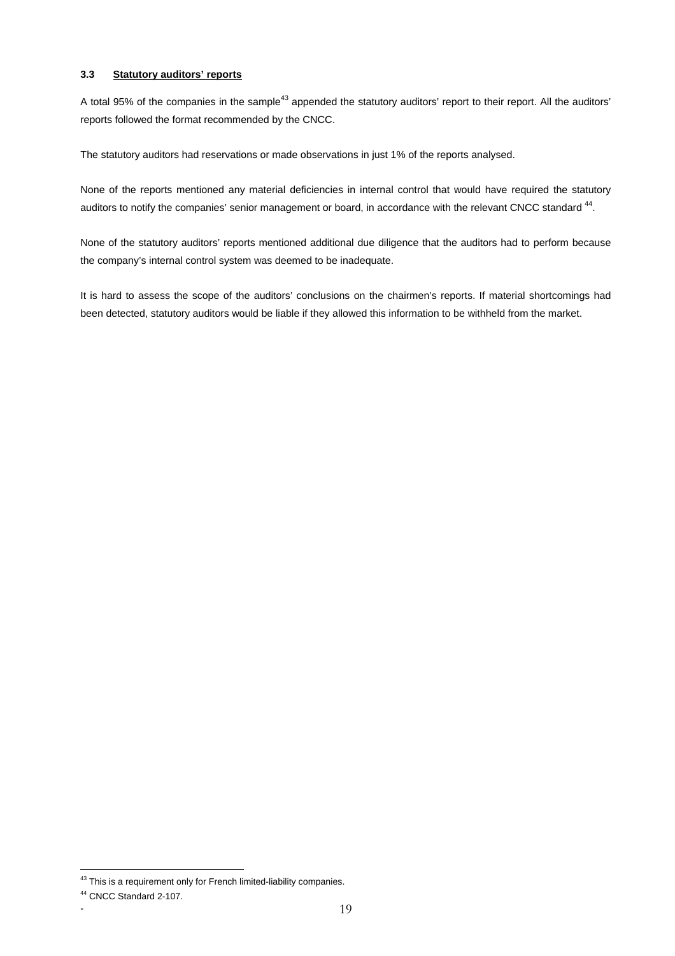# **3.3 Statutory auditors' reports**

A total 95% of the companies in the sample<sup>43</sup> appended the statutory auditors' report to their report. All the auditors' reports followed the format recommended by the CNCC.

The statutory auditors had reservations or made observations in just 1% of the reports analysed.

None of the reports mentioned any material deficiencies in internal control that would have required the statutory auditors to notify the companies' senior management or board, in accordance with the relevant CNCC standard <sup>44</sup>.

None of the statutory auditors' reports mentioned additional due diligence that the auditors had to perform because the company's internal control system was deemed to be inadequate.

It is hard to assess the scope of the auditors' conclusions on the chairmen's reports. If material shortcomings had been detected, statutory auditors would be liable if they allowed this information to be withheld from the market.

 $43$  This is a requirement only for French limited-liability companies.

<sup>44</sup> CNCC Standard 2-107.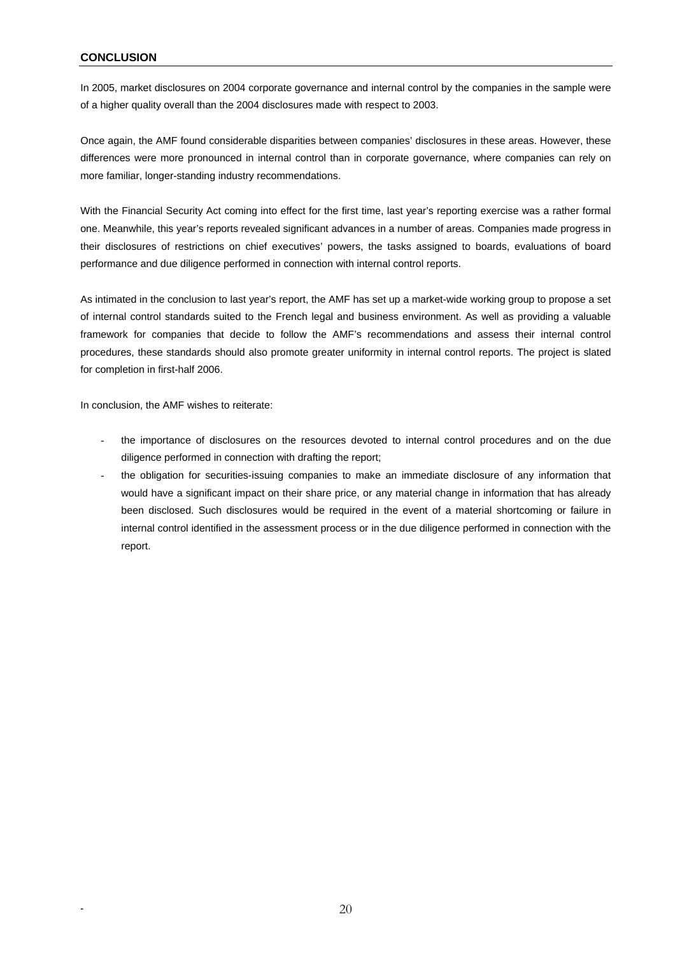# **CONCLUSION**

In 2005, market disclosures on 2004 corporate governance and internal control by the companies in the sample were of a higher quality overall than the 2004 disclosures made with respect to 2003.

Once again, the AMF found considerable disparities between companies' disclosures in these areas. However, these differences were more pronounced in internal control than in corporate governance, where companies can rely on more familiar, longer-standing industry recommendations.

With the Financial Security Act coming into effect for the first time, last year's reporting exercise was a rather formal one. Meanwhile, this year's reports revealed significant advances in a number of areas. Companies made progress in their disclosures of restrictions on chief executives' powers, the tasks assigned to boards, evaluations of board performance and due diligence performed in connection with internal control reports.

As intimated in the conclusion to last year's report, the AMF has set up a market-wide working group to propose a set of internal control standards suited to the French legal and business environment. As well as providing a valuable framework for companies that decide to follow the AMF's recommendations and assess their internal control procedures, these standards should also promote greater uniformity in internal control reports. The project is slated for completion in first-half 2006.

In conclusion, the AMF wishes to reiterate:

- the importance of disclosures on the resources devoted to internal control procedures and on the due diligence performed in connection with drafting the report;
- the obligation for securities-issuing companies to make an immediate disclosure of any information that would have a significant impact on their share price, or any material change in information that has already been disclosed. Such disclosures would be required in the event of a material shortcoming or failure in internal control identified in the assessment process or in the due diligence performed in connection with the report.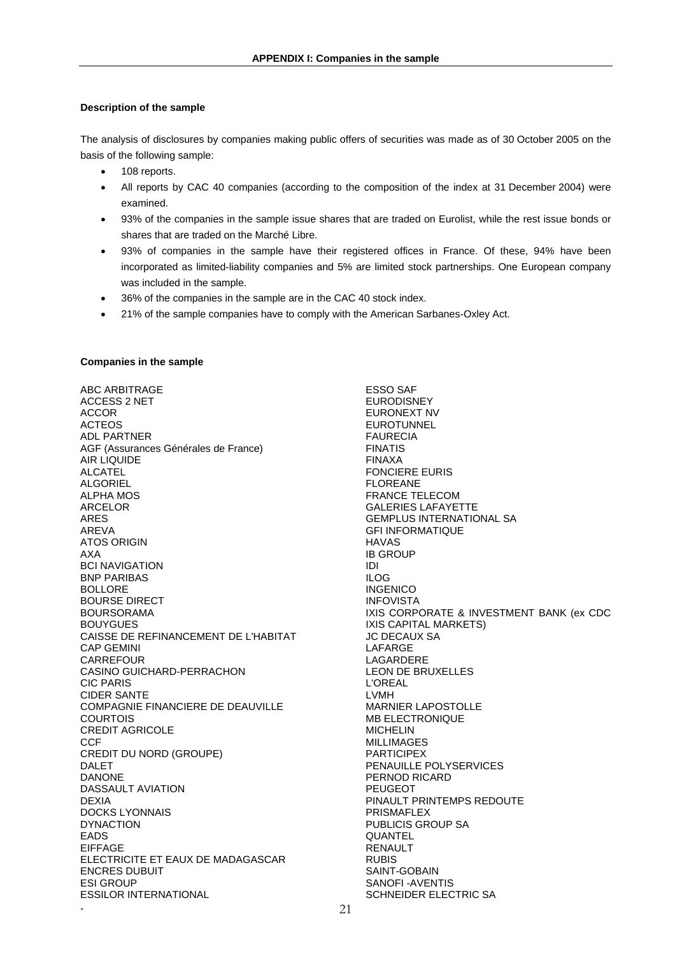# **Description of the sample**

The analysis of disclosures by companies making public offers of securities was made as of 30 October 2005 on the basis of the following sample:

- 108 reports.
- All reports by CAC 40 companies (according to the composition of the index at 31 December 2004) were examined.
- 93% of the companies in the sample issue shares that are traded on Eurolist, while the rest issue bonds or shares that are traded on the Marché Libre.
- 93% of companies in the sample have their registered offices in France. Of these, 94% have been incorporated as limited-liability companies and 5% are limited stock partnerships. One European company was included in the sample.
- 36% of the companies in the sample are in the CAC 40 stock index.
- 21% of the sample companies have to comply with the American Sarbanes-Oxley Act.

## **Companies in the sample**

- 21 ABC ARBITRAGE ACCESS 2 NET ACCOR ACTEOS ADL PARTNER AGF (Assurances Générales de France) AIR LIQUIDE ALCATEL ALGORIEL ALPHA MOS ARCELOR ARES AREVA ATOS ORIGIN AXA BCI NAVIGATION BNP PARIBAS BOLLORE BOURSE DIRECT **BOURSORAMA** BOUYGUES CAISSE DE REFINANCEMENT DE L'HABITAT CAP GEMINI **CARREFOUR** CASINO GUICHARD-PERRACHON CIC PARIS CIDER SANTE COMPAGNIE FINANCIERE DE DEAUVILLE COURTOIS CREDIT AGRICOLE **CCF** CREDIT DU NORD (GROUPE) DALET DANONE DASSAULT AVIATION DEXIA DOCKS LYONNAIS DYNACTION EADS EIFFAGE ELECTRICITE ET EAUX DE MADAGASCAR ENCRES DUBUIT ESI GROUP ESSILOR INTERNATIONAL

ESSO SAF EURODISNEY EURONEXT NV **EUROTUNNEL** FAURECIA FINATIS FINAXA FONCIERE EURIS FLOREANE FRANCE TELECOM GALERIES LAFAYETTE GEMPLUS INTERNATIONAL SA GFI INFORMATIQUE HAVAS IB GROUP IDI ILOG INGENICO INFOVISTA IXIS CORPORATE & INVESTMENT BANK (ex CDC IXIS CAPITAL MARKETS) JC DECAUX SA LAFARGE LAGARDERE LEON DE BRUXELLES L'OREAL LVMH MARNIER LAPOSTOLLE MB ELECTRONIQUE MICHELIN MILLIMAGES PARTICIPEX PENAUILLE POLYSERVICES PERNOD RICARD PEUGEOT PINAULT PRINTEMPS REDOUTE PRISMAFLEX PUBLICIS GROUP SA QUANTEL RENAULT RUBIS SAINT-GOBAIN SANOFI -AVENTIS SCHNEIDER ELECTRIC SA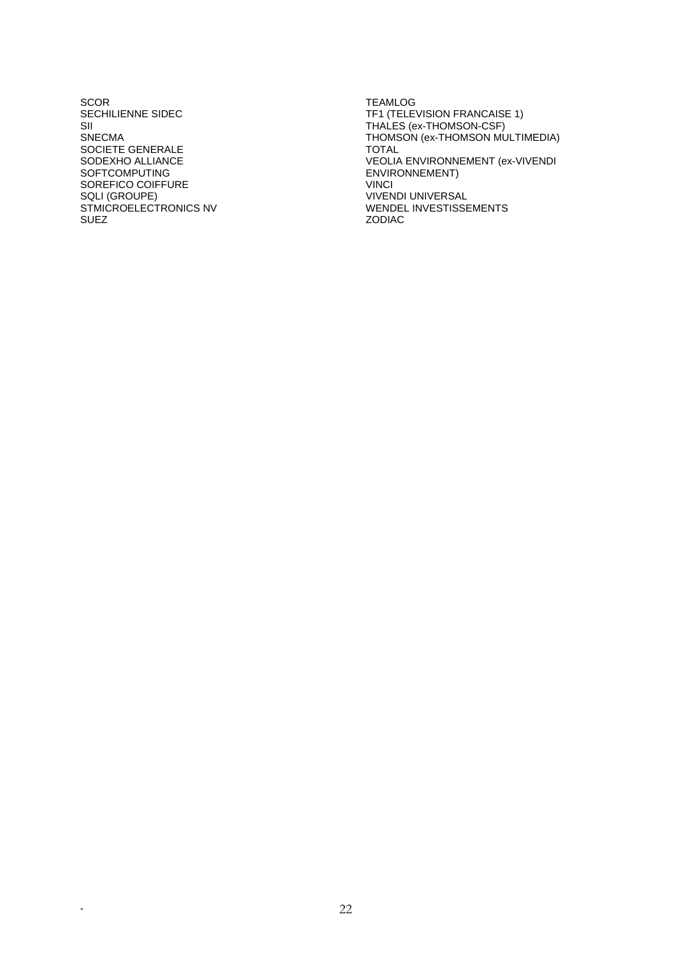**SCOR** SECHILIENNE SIDEC SII SNECMA SOCIETE GENERALE SODEXHO ALLIANCE SOFTCOMPUTING SOREFICO COIFFURE SQLI (GROUPE) STMICROELECTRONICS NV SUEZ

TEAMLOG TF1 (TELEVISION FRANCAISE 1) THALES (ex-THOMSON-CSF) THOMSON (ex-THOMSON MULTIMEDIA) TOTAL VEOLIA ENVIRONNEMENT (ex-VIVENDI ENVIRONNEMENT) **VINCI** VIVENDI UNIVERSAL WENDEL INVESTISSEMENTS ZODIAC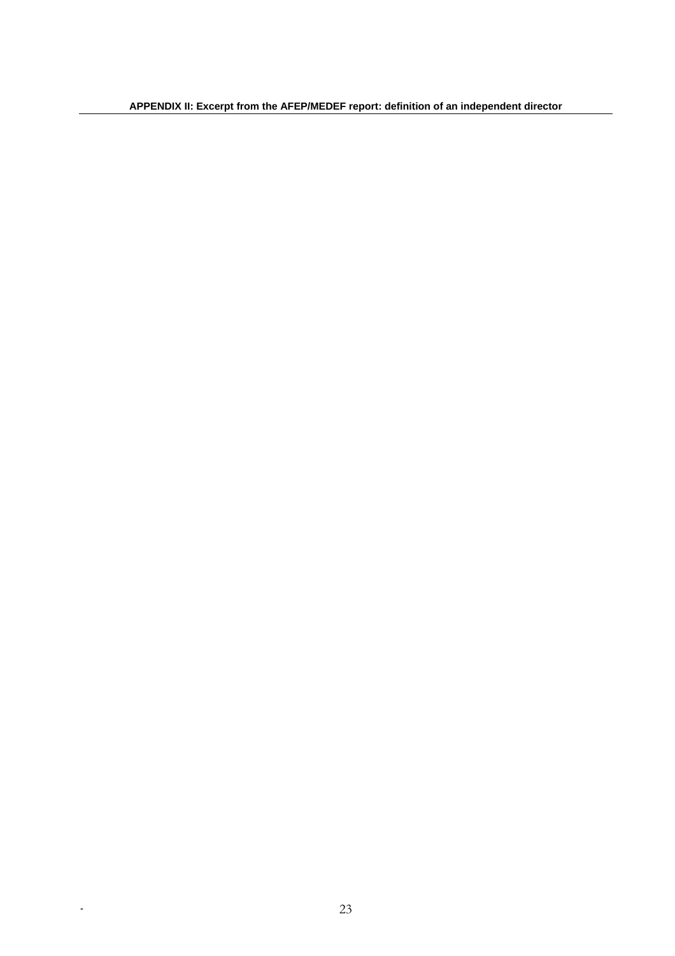**APPENDIX II: Excerpt from the AFEP/MEDEF report: definition of an independent director**